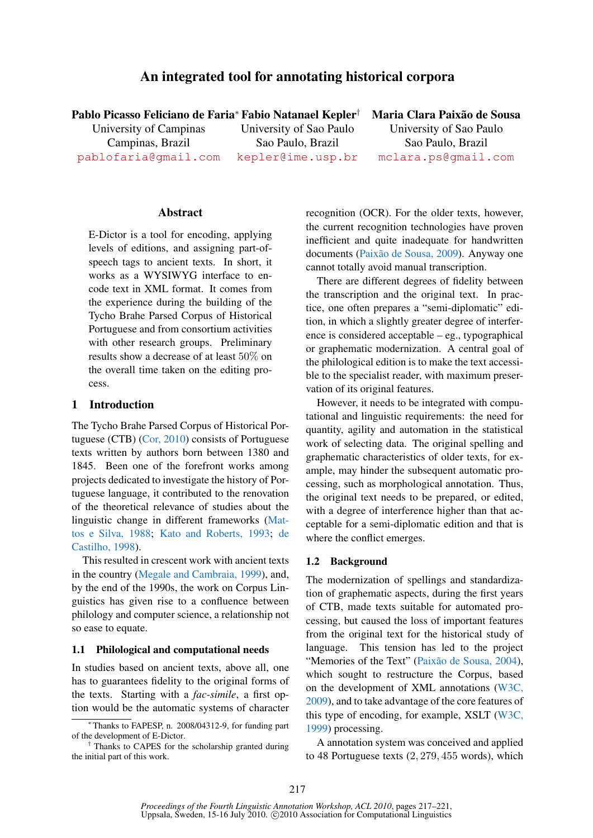# An integrated tool for annotating historical corpora

Pablo Picasso Feliciano de Faria<sup>∗</sup> Fabio Natanael Kepler† University of Campinas Campinas, Brazil pablofaria@gmail.com University of Sao Paulo Sao Paulo, Brazil kepler@ime.usp.br Maria Clara Paixão de Sousa University of Sao Paulo Sao Paulo, Brazil mclara.ps@gmail.com

### Abstract

E-Dictor is a tool for encoding, applying levels of editions, and assigning part-ofspeech tags to ancient texts. In short, it works as a WYSIWYG interface to encode text in XML format. It comes from the experience during the building of the Tycho Brahe Parsed Corpus of Historical Portuguese and from consortium activities with other research groups. Preliminary results show a decrease of at least 50% on the overall time taken on the editing process.

## 1 Introduction

The Tycho Brahe Parsed Corpus of Historical Portuguese (CTB) (Cor, 2010) consists of Portuguese texts written by authors born between 1380 and 1845. Been one of the forefront works among projects dedicated to investigate the history of Portuguese language, it contributed to the renovation of the theoretical relevance of studies about the linguistic change in different frameworks (Mattos e Silva, 1988; Kato and Roberts, 1993; de Castilho, 1998).

This resulted in crescent work with ancient texts in the country (Megale and Cambraia, 1999), and, by the end of the 1990s, the work on Corpus Linguistics has given rise to a confluence between philology and computer science, a relationship not so ease to equate.

#### 1.1 Philological and computational needs

In studies based on ancient texts, above all, one has to guarantees fidelity to the original forms of the texts. Starting with a *fac-simile*, a first option would be the automatic systems of character recognition (OCR). For the older texts, however, the current recognition technologies have proven inefficient and quite inadequate for handwritten documents (Paixão de Sousa, 2009). Anyway one cannot totally avoid manual transcription.

There are different degrees of fidelity between the transcription and the original text. In practice, one often prepares a "semi-diplomatic" edition, in which a slightly greater degree of interference is considered acceptable – eg., typographical or graphematic modernization. A central goal of the philological edition is to make the text accessible to the specialist reader, with maximum preservation of its original features.

However, it needs to be integrated with computational and linguistic requirements: the need for quantity, agility and automation in the statistical work of selecting data. The original spelling and graphematic characteristics of older texts, for example, may hinder the subsequent automatic processing, such as morphological annotation. Thus, the original text needs to be prepared, or edited, with a degree of interference higher than that acceptable for a semi-diplomatic edition and that is where the conflict emerges.

#### 1.2 Background

The modernization of spellings and standardization of graphematic aspects, during the first years of CTB, made texts suitable for automated processing, but caused the loss of important features from the original text for the historical study of language. This tension has led to the project "Memories of the Text" (Paixão de Sousa, 2004), which sought to restructure the Corpus, based on the development of XML annotations (W3C, 2009), and to take advantage of the core features of this type of encoding, for example, XSLT (W3C, 1999) processing.

A annotation system was conceived and applied to 48 Portuguese texts (2, 279, 455 words), which

<sup>∗</sup> Thanks to FAPESP, n. 2008/04312-9, for funding part of the development of E-Dictor.

<sup>†</sup> Thanks to CAPES for the scholarship granted during the initial part of this work.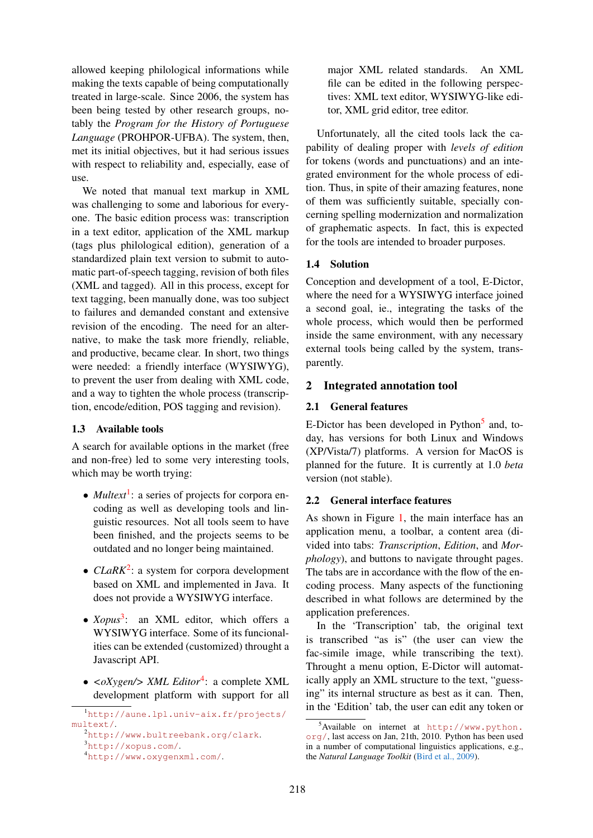allowed keeping philological informations while making the texts capable of being computationally treated in large-scale. Since 2006, the system has been being tested by other research groups, notably the *Program for the History of Portuguese Language* (PROHPOR-UFBA). The system, then, met its initial objectives, but it had serious issues with respect to reliability and, especially, ease of use.

We noted that manual text markup in XML was challenging to some and laborious for everyone. The basic edition process was: transcription in a text editor, application of the XML markup (tags plus philological edition), generation of a standardized plain text version to submit to automatic part-of-speech tagging, revision of both files (XML and tagged). All in this process, except for text tagging, been manually done, was too subject to failures and demanded constant and extensive revision of the encoding. The need for an alternative, to make the task more friendly, reliable, and productive, became clear. In short, two things were needed: a friendly interface (WYSIWYG), to prevent the user from dealing with XML code, and a way to tighten the whole process (transcription, encode/edition, POS tagging and revision).

## 1.3 Available tools

A search for available options in the market (free and non-free) led to some very interesting tools, which may be worth trying:

- *Multext*<sup>1</sup>: a series of projects for corpora encoding as well as developing tools and linguistic resources. Not all tools seem to have been finished, and the projects seems to be outdated and no longer being maintained.
- $CLaRK^2$ : a system for corpora development based on XML and implemented in Java. It does not provide a WYSIWYG interface.
- *Xopus*<sup>3</sup>: an XML editor, which offers a WYSIWYG interface. Some of its funcionalities can be extended (customized) throught a Javascript API.
- <*oXygen/> XML Editor*<sup>4</sup>: a complete XML development platform with support for all

major XML related standards. An XML file can be edited in the following perspectives: XML text editor, WYSIWYG-like editor, XML grid editor, tree editor.

Unfortunately, all the cited tools lack the capability of dealing proper with *levels of edition* for tokens (words and punctuations) and an integrated environment for the whole process of edition. Thus, in spite of their amazing features, none of them was sufficiently suitable, specially concerning spelling modernization and normalization of graphematic aspects. In fact, this is expected for the tools are intended to broader purposes.

#### 1.4 Solution

Conception and development of a tool, E-Dictor, where the need for a WYSIWYG interface joined a second goal, ie., integrating the tasks of the whole process, which would then be performed inside the same environment, with any necessary external tools being called by the system, transparently.

## 2 Integrated annotation tool

### 2.1 General features

E-Dictor has been developed in Python<sup>5</sup> and, today, has versions for both Linux and Windows (XP/Vista/7) platforms. A version for MacOS is planned for the future. It is currently at 1.0 *beta* version (not stable).

## 2.2 General interface features

As shown in Figure 1, the main interface has an application menu, a toolbar, a content area (divided into tabs: *Transcription*, *Edition*, and *Morphology*), and buttons to navigate throught pages. The tabs are in accordance with the flow of the encoding process. Many aspects of the functioning described in what follows are determined by the application preferences.

In the 'Transcription' tab, the original text is transcribed "as is" (the user can view the fac-simile image, while transcribing the text). Throught a menu option, E-Dictor will automatically apply an XML structure to the text, "guessing" its internal structure as best as it can. Then, in the 'Edition' tab, the user can edit any token or

<sup>1</sup>http://aune.lpl.univ-aix.fr/projects/ multext/.

<sup>2</sup>http://www.bultreebank.org/clark.

<sup>3</sup>http://xopus.com/.

<sup>4</sup>http://www.oxygenxml.com/.

 $5$ Available on internet at http://www.python. org/, last access on Jan, 21th, 2010. Python has been used in a number of computational linguistics applications, e.g., the *Natural Language Toolkit* (Bird et al., 2009).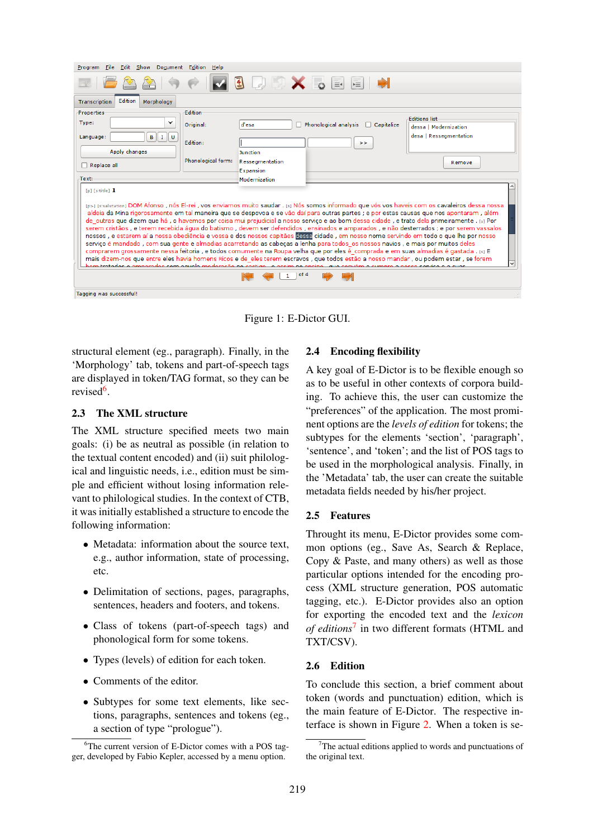

Figure 1: E-Dictor GUI.

structural element (eg., paragraph). Finally, in the 'Morphology' tab, tokens and part-of-speech tags are displayed in token/TAG format, so they can be revised<sup>6</sup>.

# 2.3 The XML structure

The XML structure specified meets two main goals: (i) be as neutral as possible (in relation to the textual content encoded) and (ii) suit philological and linguistic needs, i.e., edition must be simple and efficient without losing information relevant to philological studies. In the context of CTB, it was initially established a structure to encode the following information:

- Metadata: information about the source text, e.g., author information, state of processing, etc.
- Delimitation of sections, pages, paragraphs, sentences, headers and footers, and tokens.
- Class of tokens (part-of-speech tags) and phonological form for some tokens.
- Types (levels) of edition for each token.
- Comments of the editor.
- Subtypes for some text elements, like sections, paragraphs, sentences and tokens (eg., a section of type "prologue").

# 2.4 Encoding flexibility

A key goal of E-Dictor is to be flexible enough so as to be useful in other contexts of corpora building. To achieve this, the user can customize the "preferences" of the application. The most prominent options are the *levels of edition* for tokens; the subtypes for the elements 'section', 'paragraph', 'sentence', and 'token'; and the list of POS tags to be used in the morphological analysis. Finally, in the 'Metadata' tab, the user can create the suitable metadata fields needed by his/her project.

# 2.5 Features

Throught its menu, E-Dictor provides some common options (eg., Save As, Search & Replace, Copy & Paste, and many others) as well as those particular options intended for the encoding process (XML structure generation, POS automatic tagging, etc.). E-Dictor provides also an option for exporting the encoded text and the *lexicon of editions*<sup>7</sup> in two different formats (HTML and TXT/CSV).

# 2.6 Edition

To conclude this section, a brief comment about token (words and punctuation) edition, which is the main feature of E-Dictor. The respective interface is shown in Figure 2. When a token is se-

 $6$ The current version of E-Dictor comes with a POS tagger, developed by Fabio Kepler, accessed by a menu option.

 $7$ The actual editions applied to words and punctuations of the original text.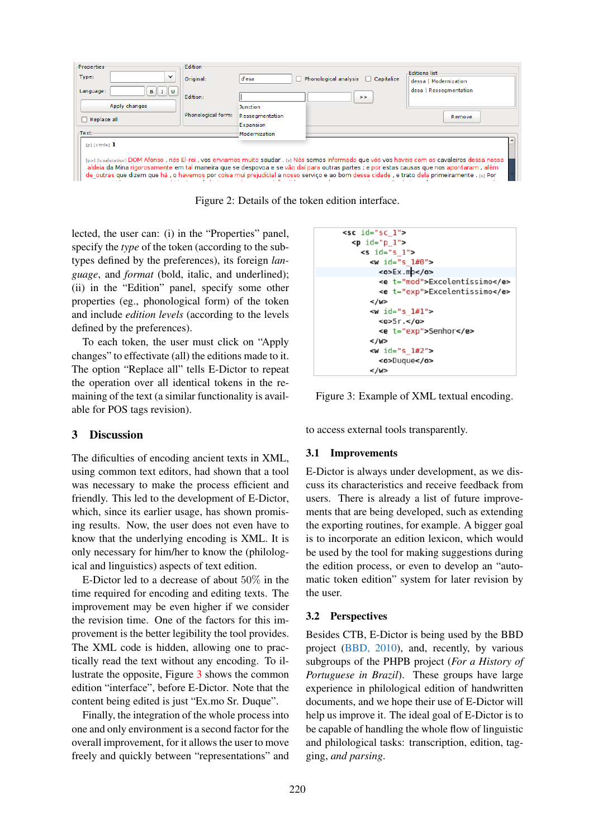

Figure 2: Details of the token edition interface.

lected, the user can: (i) in the "Properties" panel, specify the *type* of the token (according to the subtypes defined by the preferences), its foreign *language*, and *format* (bold, italic, and underlined); (ii) in the "Edition" panel, specify some other properties (eg., phonological form) of the token and include *edition levels* (according to the levels defined by the preferences).

To each token, the user must click on "Apply changes" to effectivate (all) the editions made to it. The option "Replace all" tells E-Dictor to repeat the operation over all identical tokens in the remaining of the text (a similar functionality is available for POS tags revision).

## 3 Discussion

The dificulties of encoding ancient texts in XML, using common text editors, had shown that a tool was necessary to make the process efficient and friendly. This led to the development of E-Dictor, which, since its earlier usage, has shown promising results. Now, the user does not even have to know that the underlying encoding is XML. It is only necessary for him/her to know the (philological and linguistics) aspects of text edition.

E-Dictor led to a decrease of about 50% in the time required for encoding and editing texts. The improvement may be even higher if we consider the revision time. One of the factors for this improvement is the better legibility the tool provides. The XML code is hidden, allowing one to practically read the text without any encoding. To illustrate the opposite, Figure 3 shows the common edition "interface", before E-Dictor. Note that the content being edited is just "Ex.mo Sr. Duque".

Finally, the integration of the whole process into one and only environment is a second factor for the overall improvement, for it allows the user to move freely and quickly between "representations" and



Figure 3: Example of XML textual encoding.

to access external tools transparently.

### 3.1 Improvements

E-Dictor is always under development, as we discuss its characteristics and receive feedback from users. There is already a list of future improvements that are being developed, such as extending the exporting routines, for example. A bigger goal is to incorporate an edition lexicon, which would be used by the tool for making suggestions during the edition process, or even to develop an "automatic token edition" system for later revision by the user.

#### 3.2 Perspectives

Besides CTB, E-Dictor is being used by the BBD project (BBD, 2010), and, recently, by various subgroups of the PHPB project (*For a History of Portuguese in Brazil*). These groups have large experience in philological edition of handwritten documents, and we hope their use of E-Dictor will help us improve it. The ideal goal of E-Dictor is to be capable of handling the whole flow of linguistic and philological tasks: transcription, edition, tagging, *and parsing*.